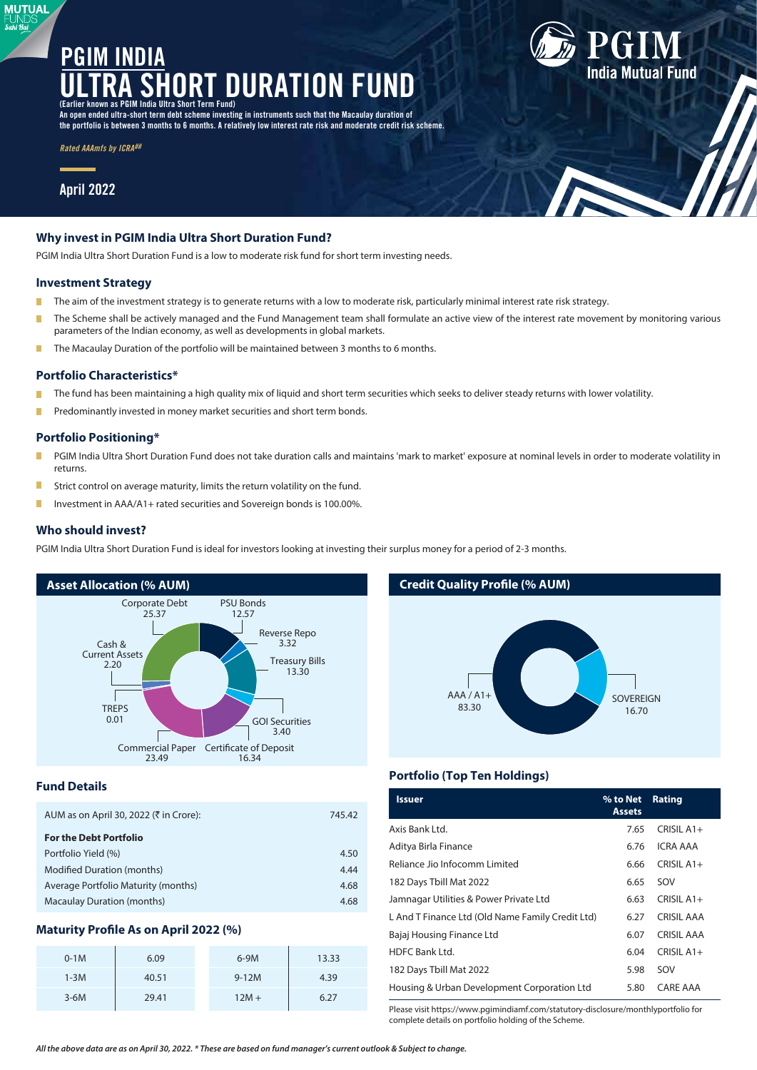# **LOURATION PGIM INDIA (Earlier known as PGIM India Ultra Short Term Fund)**

**An open ended ultra-short term debt scheme investing in instruments such that the Macaulay duration of the portfolio is between 3 months to 6 months. A relatively low interest rate risk and moderate credit risk scheme.**

*Rated AAAmfs by ICRA##*

# **April 2022**

**MUTUAL** Sahi Hai

# **Why invest in PGIM India Ultra Short Duration Fund?**

PGIM India Ultra Short Duration Fund is a low to moderate risk fund for short term investing needs.

#### **Investment Strategy**

- T. The aim of the investment strategy is to generate returns with a low to moderate risk, particularly minimal interest rate risk strategy.
- n The Scheme shall be actively managed and the Fund Management team shall formulate an active view of the interest rate movement by monitoring various parameters of the Indian economy, as well as developments in global markets.
- The Macaulay Duration of the portfolio will be maintained between 3 months to 6 months. П

#### **Portfolio Characteristics\***

- Ė The fund has been maintaining a high quality mix of liquid and short term securities which seeks to deliver steady returns with lower volatility.
- Predominantly invested in money market securities and short term bonds. П

# **Portfolio Positioning\***

- П PGIM India Ultra Short Duration Fund does not take duration calls and maintains 'mark to market' exposure at nominal levels in order to moderate volatility in returns.
- П Strict control on average maturity, limits the return volatility on the fund.
- П Investment in AAA/A1+ rated securities and Sovereign bonds is 100.00%.

#### **Who should invest?**

PGIM India Ultra Short Duration Fund is ideal for investors looking at investing their surplus money for a period of 2-3 months.



#### **Fund Details**

| AUM as on April 30, 2022 (₹ in Crore): | 745.42 |
|----------------------------------------|--------|
| <b>For the Debt Portfolio</b>          |        |
| Portfolio Yield (%)                    | 4.50   |
| <b>Modified Duration (months)</b>      | 4.44   |
| Average Portfolio Maturity (months)    | 4.68   |
| <b>Macaulay Duration (months)</b>      | 4.68   |

# **Maturity Profile As on April 2022 (%)**

| $0-1M$ | 6.09  | $6-9M$  | 13.33 |
|--------|-------|---------|-------|
| $1-3M$ | 40.51 | $9-12M$ | 4.39  |
| $3-6M$ | 29.41 | $12M +$ | 6.27  |

# **Credit Quality Profile (% AUM)**



**India Mutual Fund** 

# **Portfolio (Top Ten Holdings)**

| <b>Issuer</b>                                    | % to Net<br><b>Assets</b> | Rating            |
|--------------------------------------------------|---------------------------|-------------------|
| Axis Bank Ltd.                                   | 7.65                      | CRISIL A1+        |
| Aditya Birla Finance                             | 6.76                      | ICRA AAA          |
| Reliance Jio Infocomm Limited                    | 6.66                      | CRISIL A1+        |
| 182 Days Tbill Mat 2022                          | 6.65                      | SOV               |
| Jamnagar Utilities & Power Private Ltd           | 6.63                      | CRISIL A1+        |
| L And T Finance Ltd (Old Name Family Credit Ltd) | 6.27                      | <b>CRISIL AAA</b> |
| Bajaj Housing Finance Ltd                        | 6.07                      | <b>CRISIL AAA</b> |
| HDFC Bank Ltd.                                   | 6.04                      | $CRISII A1+$      |
| 182 Days Tbill Mat 2022                          | 5.98                      | SOV               |
| Housing & Urban Development Corporation Ltd      | 5.80                      | CARE AAA          |

Please visit https://www.pgimindiamf.com/statutory-disclosure/monthlyportfolio for complete details on portfolio holding of the Scheme.